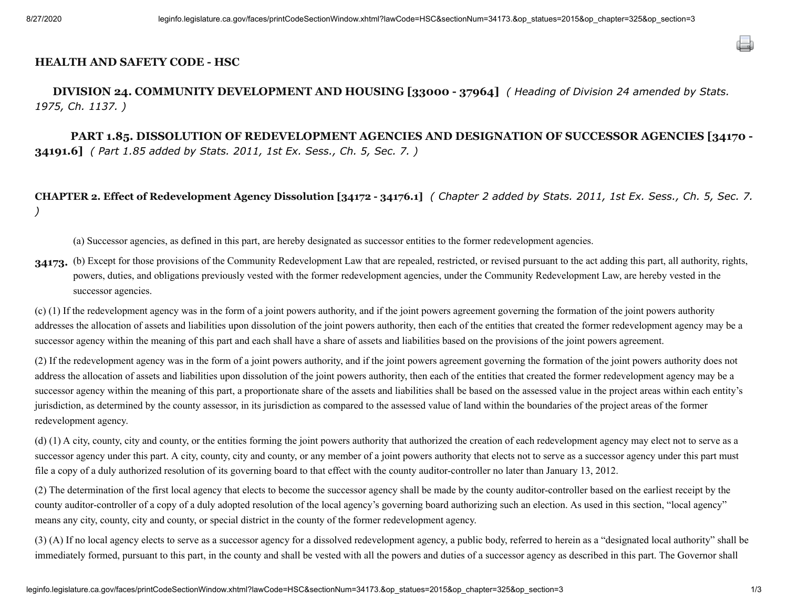## **HEALTH AND SAFETY CODE - HSC**

**DIVISION 24. COMMUNITY DEVELOPMENT AND HOUSING [33000 - 37964]** *( Heading of Division 24 amended by Stats. 1975, Ch. 1137. )*

**PART 1.85. DISSOLUTION OF REDEVELOPMENT AGENCIES AND DESIGNATION OF SUCCESSOR AGENCIES [34170 - 34191.6]** *( Part 1.85 added by Stats. 2011, 1st Ex. Sess., Ch. 5, Sec. 7. )*

**CHAPTER 2. Effect of Redevelopment Agency Dissolution [34172 - 34176.1]** *( Chapter 2 added by Stats. 2011, 1st Ex. Sess., Ch. 5, Sec. 7. )*

(a) Successor agencies, as defined in this part, are hereby designated as successor entities to the former redevelopment agencies.

34173. (b) Except for those provisions of the Community Redevelopment Law that are repealed, restricted, or revised pursuant to the act adding this part, all authority, rights, powers, duties, and obligations previously vested with the former redevelopment agencies, under the Community Redevelopment Law, are hereby vested in the successor agencies.

(c) (1) If the redevelopment agency was in the form of a joint powers authority, and if the joint powers agreement governing the formation of the joint powers authority addresses the allocation of assets and liabilities upon dissolution of the joint powers authority, then each of the entities that created the former redevelopment agency may be a successor agency within the meaning of this part and each shall have a share of assets and liabilities based on the provisions of the joint powers agreement.

(2) If the redevelopment agency was in the form of a joint powers authority, and if the joint powers agreement governing the formation of the joint powers authority does not address the allocation of assets and liabilities upon dissolution of the joint powers authority, then each of the entities that created the former redevelopment agency may be a successor agency within the meaning of this part, a proportionate share of the assets and liabilities shall be based on the assessed value in the project areas within each entity's jurisdiction, as determined by the county assessor, in its jurisdiction as compared to the assessed value of land within the boundaries of the project areas of the former redevelopment agency.

(d) (1) A city, county, city and county, or the entities forming the joint powers authority that authorized the creation of each redevelopment agency may elect not to serve as a successor agency under this part. A city, county, city and county, or any member of a joint powers authority that elects not to serve as a successor agency under this part must file a copy of a duly authorized resolution of its governing board to that effect with the county auditor-controller no later than January 13, 2012.

(2) The determination of the first local agency that elects to become the successor agency shall be made by the county auditor-controller based on the earliest receipt by the county auditor-controller of a copy of a duly adopted resolution of the local agency's governing board authorizing such an election. As used in this section, "local agency" means any city, county, city and county, or special district in the county of the former redevelopment agency.

(3) (A) If no local agency elects to serve as a successor agency for a dissolved redevelopment agency, a public body, referred to herein as a "designated local authority" shall be immediately formed, pursuant to this part, in the county and shall be vested with all the powers and duties of a successor agency as described in this part. The Governor shall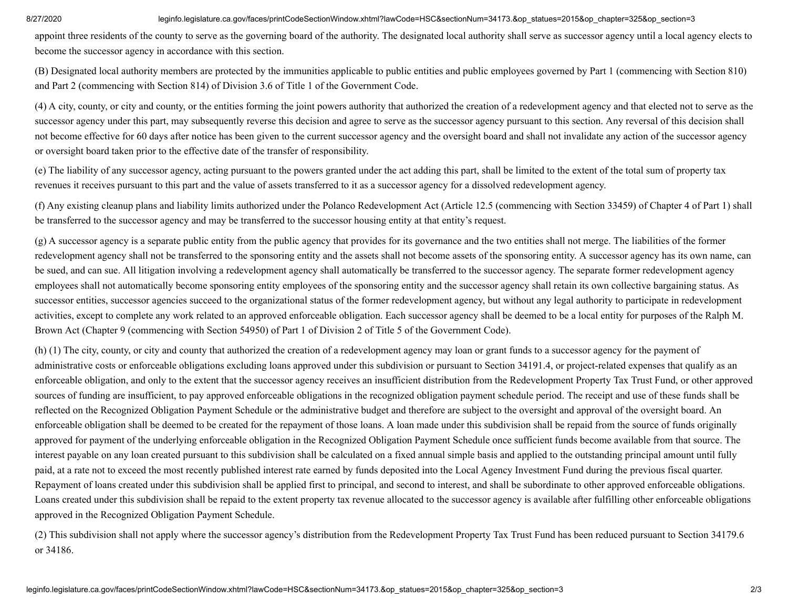## 8/27/2020 leginfo.legislature.ca.gov/faces/printCodeSectionWindow.xhtml?lawCode=HSC&sectionNum=34173.&op statues=2015&op chapter=325&op section=3

appoint three residents of the county to serve as the governing board of the authority. The designated local authority shall serve as successor agency until a local agency elects to become the successor agency in accordance with this section.

(B) Designated local authority members are protected by the immunities applicable to public entities and public employees governed by Part 1 (commencing with Section 810) and Part 2 (commencing with Section 814) of Division 3.6 of Title 1 of the Government Code.

(4) A city, county, or city and county, or the entities forming the joint powers authority that authorized the creation of a redevelopment agency and that elected not to serve as the successor agency under this part, may subsequently reverse this decision and agree to serve as the successor agency pursuant to this section. Any reversal of this decision shall not become effective for 60 days after notice has been given to the current successor agency and the oversight board and shall not invalidate any action of the successor agency or oversight board taken prior to the effective date of the transfer of responsibility.

(e) The liability of any successor agency, acting pursuant to the powers granted under the act adding this part, shall be limited to the extent of the total sum of property tax revenues it receives pursuant to this part and the value of assets transferred to it as a successor agency for a dissolved redevelopment agency.

(f) Any existing cleanup plans and liability limits authorized under the Polanco Redevelopment Act (Article 12.5 (commencing with Section 33459) of Chapter 4 of Part 1) shall be transferred to the successor agency and may be transferred to the successor housing entity at that entity's request.

(g) A successor agency is a separate public entity from the public agency that provides for its governance and the two entities shall not merge. The liabilities of the former redevelopment agency shall not be transferred to the sponsoring entity and the assets shall not become assets of the sponsoring entity. A successor agency has its own name, can be sued, and can sue. All litigation involving a redevelopment agency shall automatically be transferred to the successor agency. The separate former redevelopment agency employees shall not automatically become sponsoring entity employees of the sponsoring entity and the successor agency shall retain its own collective bargaining status. As successor entities, successor agencies succeed to the organizational status of the former redevelopment agency, but without any legal authority to participate in redevelopment activities, except to complete any work related to an approved enforceable obligation. Each successor agency shall be deemed to be a local entity for purposes of the Ralph M. Brown Act (Chapter 9 (commencing with Section 54950) of Part 1 of Division 2 of Title 5 of the Government Code).

(h) (1) The city, county, or city and county that authorized the creation of a redevelopment agency may loan or grant funds to a successor agency for the payment of administrative costs or enforceable obligations excluding loans approved under this subdivision or pursuant to Section 34191.4, or project-related expenses that qualify as an enforceable obligation, and only to the extent that the successor agency receives an insufficient distribution from the Redevelopment Property Tax Trust Fund, or other approved sources of funding are insufficient, to pay approved enforceable obligations in the recognized obligation payment schedule period. The receipt and use of these funds shall be reflected on the Recognized Obligation Payment Schedule or the administrative budget and therefore are subject to the oversight and approval of the oversight board. An enforceable obligation shall be deemed to be created for the repayment of those loans. A loan made under this subdivision shall be repaid from the source of funds originally approved for payment of the underlying enforceable obligation in the Recognized Obligation Payment Schedule once sufficient funds become available from that source. The interest payable on any loan created pursuant to this subdivision shall be calculated on a fixed annual simple basis and applied to the outstanding principal amount until fully paid, at a rate not to exceed the most recently published interest rate earned by funds deposited into the Local Agency Investment Fund during the previous fiscal quarter. Repayment of loans created under this subdivision shall be applied first to principal, and second to interest, and shall be subordinate to other approved enforceable obligations. Loans created under this subdivision shall be repaid to the extent property tax revenue allocated to the successor agency is available after fulfilling other enforceable obligations approved in the Recognized Obligation Payment Schedule.

(2) This subdivision shall not apply where the successor agency's distribution from the Redevelopment Property Tax Trust Fund has been reduced pursuant to Section 34179.6 or 34186.